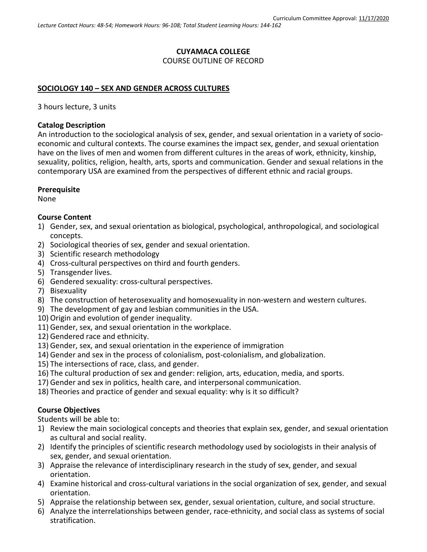# **CUYAMACA COLLEGE** COURSE OUTLINE OF RECORD

#### **SOCIOLOGY 140 – SEX AND GENDER ACROSS CULTURES**

3 hours lecture, 3 units

#### **Catalog Description**

An introduction to the sociological analysis of sex, gender, and sexual orientation in a variety of socioeconomic and cultural contexts. The course examines the impact sex, gender, and sexual orientation have on the lives of men and women from different cultures in the areas of work, ethnicity, kinship, sexuality, politics, religion, health, arts, sports and communication. Gender and sexual relations in the contemporary USA are examined from the perspectives of different ethnic and racial groups.

#### **Prerequisite**

None

#### **Course Content**

- 1) Gender, sex, and sexual orientation as biological, psychological, anthropological, and sociological concepts.
- 2) Sociological theories of sex, gender and sexual orientation.
- 3) Scientific research methodology
- 4) Cross-cultural perspectives on third and fourth genders.
- 5) Transgender lives.
- 6) Gendered sexuality: cross-cultural perspectives.
- 7) Bisexuality
- 8) The construction of heterosexuality and homosexuality in non-western and western cultures.
- 9) The development of gay and lesbian communities in the USA.
- 10) Origin and evolution of gender inequality.
- 11) Gender, sex, and sexual orientation in the workplace.
- 12) Gendered race and ethnicity.
- 13) Gender, sex, and sexual orientation in the experience of immigration
- 14) Gender and sex in the process of colonialism, post-colonialism, and globalization.
- 15) The intersections of race, class, and gender.
- 16) The cultural production of sex and gender: religion, arts, education, media, and sports.
- 17) Gender and sex in politics, health care, and interpersonal communication.
- 18) Theories and practice of gender and sexual equality: why is it so difficult?

# **Course Objectives**

Students will be able to:

- 1) Review the main sociological concepts and theories that explain sex, gender, and sexual orientation as cultural and social reality.
- 2) Identify the principles of scientific research methodology used by sociologists in their analysis of sex, gender, and sexual orientation.
- 3) Appraise the relevance of interdisciplinary research in the study of sex, gender, and sexual orientation.
- 4) Examine historical and cross-cultural variations in the social organization of sex, gender, and sexual orientation.
- 5) Appraise the relationship between sex, gender, sexual orientation, culture, and social structure.
- 6) Analyze the interrelationships between gender, race-ethnicity, and social class as systems of social stratification.